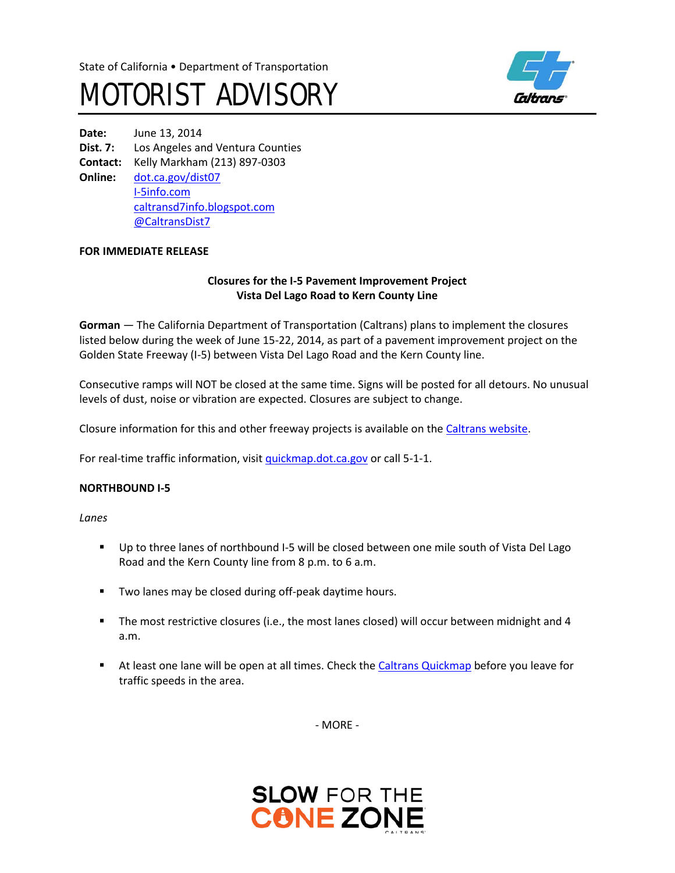



**Date:** June 13, 2014 **Dist. 7:** Los Angeles and Ventura Counties **Contact:** Kelly Markham (213) 897-0303 **Online:** [dot.ca.gov/dist07](http://www.dot.ca.gov/dist07) I-[5info.com](http://www.i-5info.com/) caltransd7info.blogspot.com @CaltransDist7

#### **FOR IMMEDIATE RELEASE**

## **Closures for the I-5 Pavement Improvement Project Vista Del Lago Road to Kern County Line**

**Gorman** — The California Department of Transportation (Caltrans) plans to implement the closures listed below during the week of June 15-22, 2014, as part of a pavement improvement project on the Golden State Freeway (I-5) between Vista Del Lago Road and the Kern County line.

Consecutive ramps will NOT be closed at the same time. Signs will be posted for all detours. No unusual levels of dust, noise or vibration are expected. Closures are subject to change.

Closure information for this and other freeway projects is available on th[e Caltrans website.](http://www.lcswebreports.dot.ca.gov/lcswebreports/SearchPreAction.do?district=7)

For real-time traffic information, visit quickmap.dot.ca.gov or call 5-1-1.

## **NORTHBOUND I-5**

*Lanes*

- Up to three lanes of northbound I-5 will be closed between one mile south of Vista Del Lago Road and the Kern County line from 8 p.m. to 6 a.m.
- **Two lanes may be closed during off-peak daytime hours.**
- The most restrictive closures (i.e., the most lanes closed) will occur between midnight and 4 a.m.
- At least one lane will be open at all times. Check the Caltrans Quickmap before you leave for traffic speeds in the area.

- MORE -

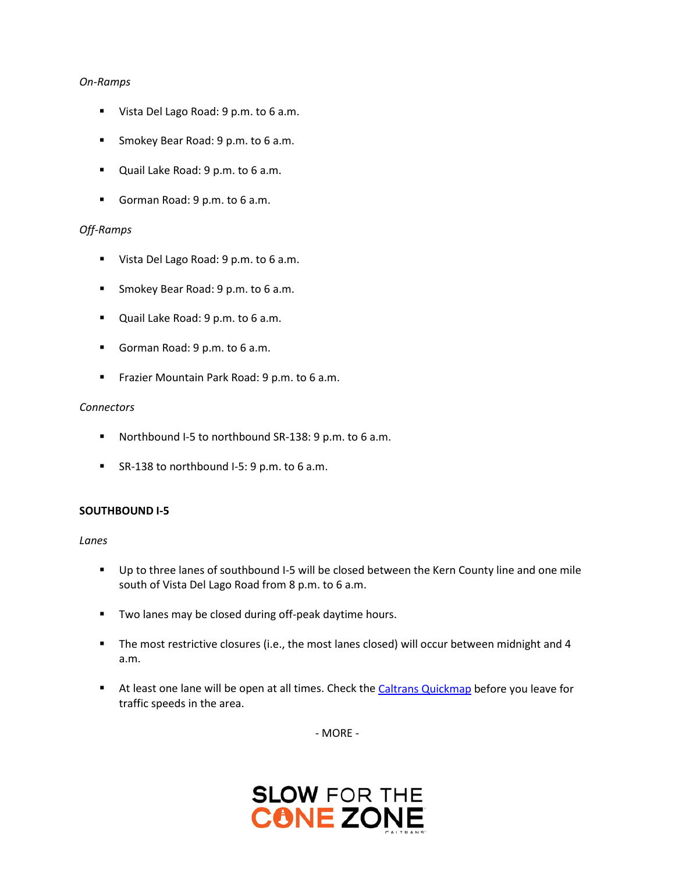#### *On-Ramps*

- Vista Del Lago Road: 9 p.m. to 6 a.m.
- Smokey Bear Road: 9 p.m. to 6 a.m.
- **Quail Lake Road: 9 p.m. to 6 a.m.**
- Gorman Road: 9 p.m. to 6 a.m.

# *Off-Ramps*

- Vista Del Lago Road: 9 p.m. to 6 a.m.
- **Smokey Bear Road: 9 p.m. to 6 a.m.**
- **Quail Lake Road: 9 p.m. to 6 a.m.**
- Gorman Road: 9 p.m. to 6 a.m.
- **Frazier Mountain Park Road: 9 p.m. to 6 a.m.**

## *Connectors*

- Northbound I-5 to northbound SR-138: 9 p.m. to 6 a.m.
- SR-138 to northbound I-5: 9 p.m. to 6 a.m.

## **SOUTHBOUND I-5**

*Lanes*

- Up to three lanes of southbound I-5 will be closed between the Kern County line and one mile south of Vista Del Lago Road from 8 p.m. to 6 a.m.
- **Two lanes may be closed during off-peak daytime hours.**
- The most restrictive closures (i.e., the most lanes closed) will occur between midnight and 4 a.m.
- At least one lane will be open at all times. Check the Caltrans Quickmap before you leave for traffic speeds in the area.

- MORE -

# **SLOW FOR THE CONE**